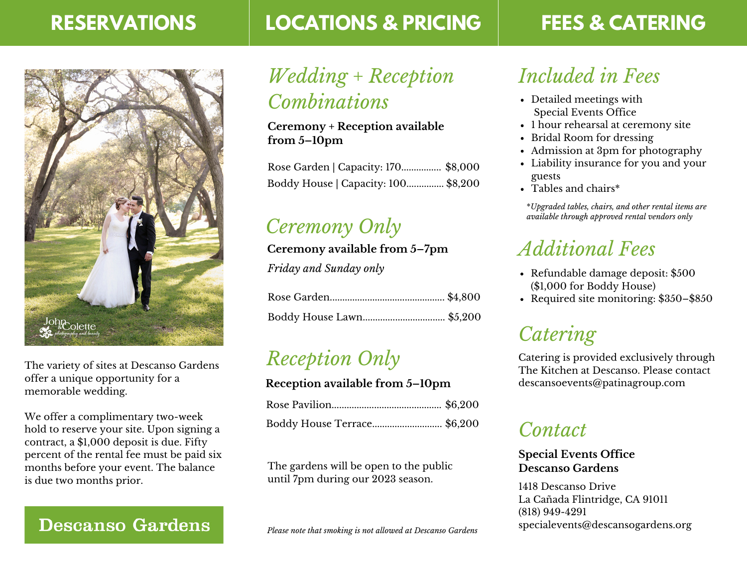### **RESERVATIONS**



The variety of sites at Descanso Gardens offer a unique opportunity for a memorable wedding.

We offer a complimentary two-week hold to reserve your site. Upon signing a contract, a \$1,000 deposit is due. Fifty percent of the rental fee must be paid six months before your event. The balance is due two months prior.

### **Descanso Gardens**

### **LOCATIONS & PRICING**

# **FEES & CATERING**

# *Wedding + Reception Combinations*

**Ceremony + Reception available from 5–10pm**

| Rose Garden   Capacity: 170 \$8,000 |  |
|-------------------------------------|--|
| Boddy House   Capacity: 100 \$8,200 |  |

# *Ceremony Only*

**Ceremony available from 5–7pm**

*Friday and Sunday only*

## *Reception Only*

#### **Reception available from 5–10pm**

| Boddy House Terrace \$6,200 |  |
|-----------------------------|--|

The gardens will be open to the public until 7pm during our 2023 season.

*Please note that smoking is not allowed at Descanso Gardens*

# *Included in Fees*

- Detailed meetings with Special Events Office
- 1 hour rehearsal at ceremony site
- Bridal Room for dressing
- Admission at 3pm for photography
- Liability insurance for you and your guests
- Tables and chairs\*

\**Upgraded tables, chairs, and other rental items are available through approved rental vendors only*

# *Additional Fees*

- Refundable damage deposit: \$500 (\$1,000 for Boddy House)
- Required site monitoring: \$350–\$850

# *Catering*

Catering is provided exclusively through The Kitchen at Descanso. Please contact [descansoevents@patinagroup.com](mailto:descansoevents@patinagroup.com)

### *Contact*

#### **Special Events Office Descanso Gardens**

1418 Descanso Drive La Cañada Flintridge, CA 91011 (818) 949-4291 specialevents@descansogardens.org